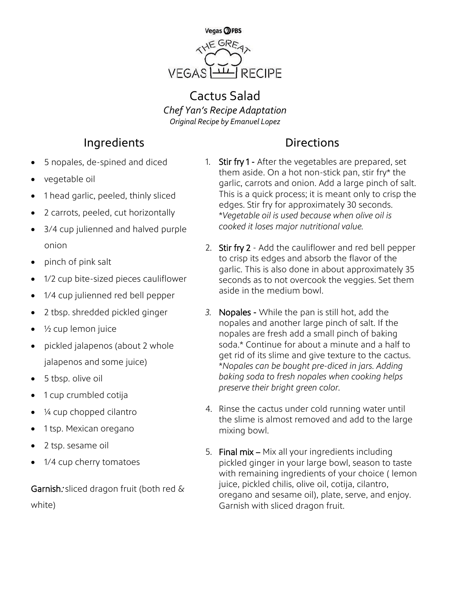

## Cactus Salad *Chef Yan's Recipe Adaptation Original Recipe by Emanuel Lopez*

## **Ingredients** Directions

- 5 nopales, de-spined and diced
- vegetable oil
- 1 head garlic, peeled, thinly sliced
- 2 carrots, peeled, cut horizontally
- 3/4 cup julienned and halved purple onion
- pinch of pink salt
- 1/2 cup bite-sized pieces cauliflower
- 1/4 cup julienned red bell pepper
- 2 tbsp. shredded pickled ginger
- ½ cup lemon juice
- pickled jalapenos (about 2 whole jalapenos and some juice)
- 5 tbsp. olive oil
- 1 cup crumbled cotija
- ¼ cup chopped cilantro
- 1 tsp. Mexican oregano
- 2 tsp. sesame oil
- 1/4 cup cherry tomatoes

Garnish: sliced dragon fruit (both red & white)

- 1. Stir fry 1 After the vegetables are prepared, set them aside. On a hot non-stick pan, stir fry\* the garlic, carrots and onion. Add a large pinch of salt. This is a quick process; it is meant only to crisp the edges. Stir fry for approximately 30 seconds. \**Vegetable oil is used because when olive oil is cooked it loses major nutritional value.*
- 2. Stir fry 2 Add the cauliflower and red bell pepper to crisp its edges and absorb the flavor of the garlic. This is also done in about approximately 35 seconds as to not overcook the veggies. Set them aside in the medium bowl.
- *3.* Nopales While the pan is still hot, add the nopales and another large pinch of salt. If the nopales are fresh add a small pinch of baking soda.\* Continue for about a minute and a half to get rid of its slime and give texture to the cactus. \**Nopales can be bought pre-diced in jars. Adding baking soda to fresh nopales when cooking helps preserve their bright green color.*
- 4. Rinse the cactus under cold running water until the slime is almost removed and add to the large mixing bowl.
- 5. Final mix Mix all your ingredients including pickled ginger in your large bowl, season to taste with remaining ingredients of your choice ( lemon juice, pickled chilis, olive oil, cotija, cilantro, oregano and sesame oil), plate, serve, and enjoy. Garnish with sliced dragon fruit.